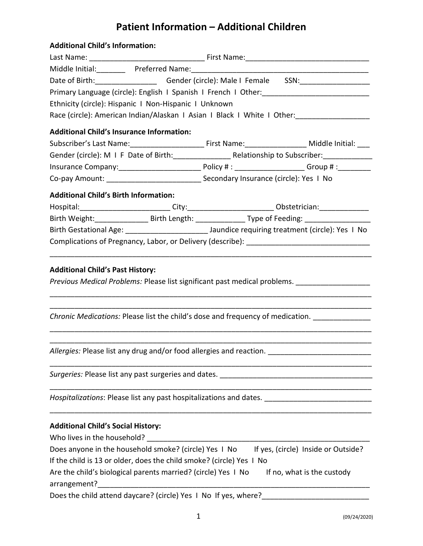## **Patient Information – Additional Children**

| <b>Additional Child's Information:</b>                               |  |  |                                                                                                                                         |  |  |  |  |  |
|----------------------------------------------------------------------|--|--|-----------------------------------------------------------------------------------------------------------------------------------------|--|--|--|--|--|
|                                                                      |  |  |                                                                                                                                         |  |  |  |  |  |
|                                                                      |  |  |                                                                                                                                         |  |  |  |  |  |
|                                                                      |  |  | Date of Birth: _______________________Gender (circle): Male I Female SSN: ___________________                                           |  |  |  |  |  |
|                                                                      |  |  | Primary Language (circle): English I Spanish I French I Other: [19] [19] Primary Language (circle): English I Spanish I French I Other: |  |  |  |  |  |
| Ethnicity (circle): Hispanic I Non-Hispanic I Unknown                |  |  |                                                                                                                                         |  |  |  |  |  |
|                                                                      |  |  | Race (circle): American Indian/Alaskan I Asian I Black I White I Other: ___________________________                                     |  |  |  |  |  |
| <b>Additional Child's Insurance Information:</b>                     |  |  |                                                                                                                                         |  |  |  |  |  |
|                                                                      |  |  | Subscriber's Last Name:___________________________________First Name:_________________________Middle Initial: ____                      |  |  |  |  |  |
|                                                                      |  |  |                                                                                                                                         |  |  |  |  |  |
|                                                                      |  |  |                                                                                                                                         |  |  |  |  |  |
|                                                                      |  |  |                                                                                                                                         |  |  |  |  |  |
| <b>Additional Child's Birth Information:</b>                         |  |  |                                                                                                                                         |  |  |  |  |  |
|                                                                      |  |  | Hospital:__________________________City:___________________________Obstetrician:___________________                                     |  |  |  |  |  |
|                                                                      |  |  | Birth Weight:_____________________Birth Length: __________________Type of Feeding: _________________                                    |  |  |  |  |  |
|                                                                      |  |  |                                                                                                                                         |  |  |  |  |  |
|                                                                      |  |  |                                                                                                                                         |  |  |  |  |  |
|                                                                      |  |  |                                                                                                                                         |  |  |  |  |  |
| <b>Additional Child's Past History:</b>                              |  |  | Previous Medical Problems: Please list significant past medical problems. _________________________                                     |  |  |  |  |  |
|                                                                      |  |  | Chronic Medications: Please list the child's dose and frequency of medication.                                                          |  |  |  |  |  |
|                                                                      |  |  | Allergies: Please list any drug and/or food allergies and reaction. ________________________________                                    |  |  |  |  |  |
|                                                                      |  |  | Surgeries: Please list any past surgeries and dates. [14] process and the surface and the surface and surface                           |  |  |  |  |  |
|                                                                      |  |  | Hospitalizations: Please list any past hospitalizations and dates. ________________________________                                     |  |  |  |  |  |
| <b>Additional Child's Social History:</b>                            |  |  |                                                                                                                                         |  |  |  |  |  |
| Who lives in the household?                                          |  |  |                                                                                                                                         |  |  |  |  |  |
|                                                                      |  |  | Does anyone in the household smoke? (circle) Yes I No If yes, (circle) Inside or Outside?                                               |  |  |  |  |  |
| If the child is 13 or older, does the child smoke? (circle) Yes I No |  |  |                                                                                                                                         |  |  |  |  |  |
| Are the child's biological parents married? (circle) Yes I No        |  |  | If no, what is the custody                                                                                                              |  |  |  |  |  |
|                                                                      |  |  |                                                                                                                                         |  |  |  |  |  |
| Does the child attend daycare? (circle) Yes I No If yes, where?      |  |  |                                                                                                                                         |  |  |  |  |  |
|                                                                      |  |  |                                                                                                                                         |  |  |  |  |  |